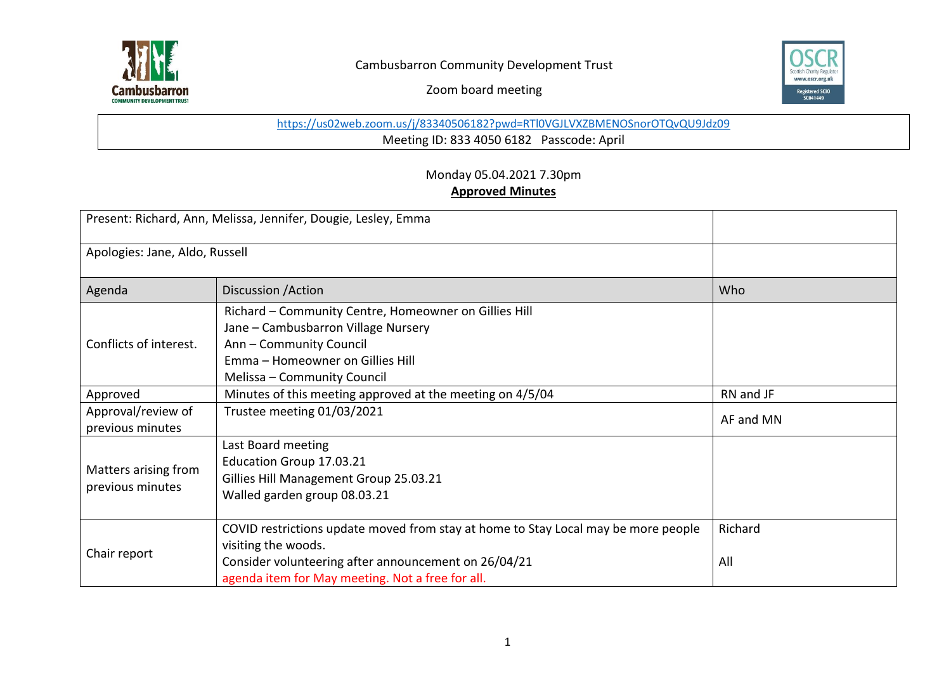

Cambusbarron Community Development Trust



Zoom board meeting

<https://us02web.zoom.us/j/83340506182?pwd=RTl0VGJLVXZBMENOSnorOTQvQU9Jdz09> Meeting ID: 833 4050 6182 Passcode: April

> Monday 05.04.2021 7.30pm **Approved Minutes**

| Present: Richard, Ann, Melissa, Jennifer, Dougie, Lesley, Emma                                                                                                       |                                                                                                                                                                                                                       |                |  |  |
|----------------------------------------------------------------------------------------------------------------------------------------------------------------------|-----------------------------------------------------------------------------------------------------------------------------------------------------------------------------------------------------------------------|----------------|--|--|
| Apologies: Jane, Aldo, Russell                                                                                                                                       |                                                                                                                                                                                                                       |                |  |  |
| Agenda                                                                                                                                                               | Discussion / Action                                                                                                                                                                                                   | Who            |  |  |
| Conflicts of interest.                                                                                                                                               | Richard - Community Centre, Homeowner on Gillies Hill<br>Jane – Cambusbarron Village Nursery<br>Ann - Community Council<br>Emma - Homeowner on Gillies Hill<br>Melissa - Community Council                            |                |  |  |
| Approved                                                                                                                                                             | Minutes of this meeting approved at the meeting on 4/5/04                                                                                                                                                             | RN and JF      |  |  |
| Approval/review of<br>Trustee meeting 01/03/2021<br>previous minutes                                                                                                 |                                                                                                                                                                                                                       | AF and MN      |  |  |
| Last Board meeting<br>Education Group 17.03.21<br>Matters arising from<br>Gillies Hill Management Group 25.03.21<br>previous minutes<br>Walled garden group 08.03.21 |                                                                                                                                                                                                                       |                |  |  |
| Chair report                                                                                                                                                         | COVID restrictions update moved from stay at home to Stay Local may be more people<br>visiting the woods.<br>Consider volunteering after announcement on 26/04/21<br>agenda item for May meeting. Not a free for all. | Richard<br>All |  |  |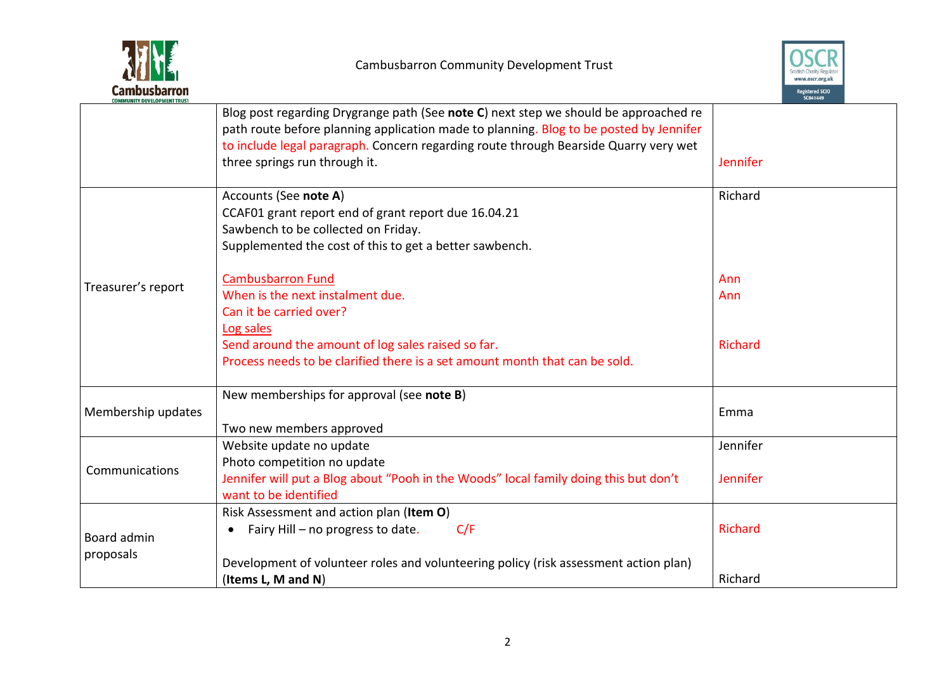



| Jalliwuswal I vi I<br><b>COMMUNITY DEVELOPMENT TRUST</b> |                                                                                                                                                                                                                                                                                                         | SC041449                     |
|----------------------------------------------------------|---------------------------------------------------------------------------------------------------------------------------------------------------------------------------------------------------------------------------------------------------------------------------------------------------------|------------------------------|
|                                                          | Blog post regarding Drygrange path (See note C) next step we should be approached re<br>path route before planning application made to planning. Blog to be posted by Jennifer<br>to include legal paragraph. Concern regarding route through Bearside Quarry very wet<br>three springs run through it. | Jennifer                     |
|                                                          | Accounts (See note A)<br>CCAF01 grant report end of grant report due 16.04.21<br>Sawbench to be collected on Friday.<br>Supplemented the cost of this to get a better sawbench.                                                                                                                         | Richard                      |
| Treasurer's report                                       | <b>Cambusbarron Fund</b><br>When is the next instalment due.<br>Can it be carried over?<br>Log sales<br>Send around the amount of log sales raised so far.<br>Process needs to be clarified there is a set amount month that can be sold.                                                               | Ann<br>Ann<br><b>Richard</b> |
| Membership updates                                       | New memberships for approval (see note B)<br>Two new members approved                                                                                                                                                                                                                                   | Emma                         |
| Communications                                           | Website update no update<br>Photo competition no update<br>Jennifer will put a Blog about "Pooh in the Woods" local family doing this but don't<br>want to be identified                                                                                                                                | Jennifer<br>Jennifer         |
| Board admin<br>proposals                                 | Risk Assessment and action plan (Item O)<br>Fairy Hill - no progress to date.<br>C/F<br>Development of volunteer roles and volunteering policy (risk assessment action plan)<br>(Items L, M and N)                                                                                                      | <b>Richard</b><br>Richard    |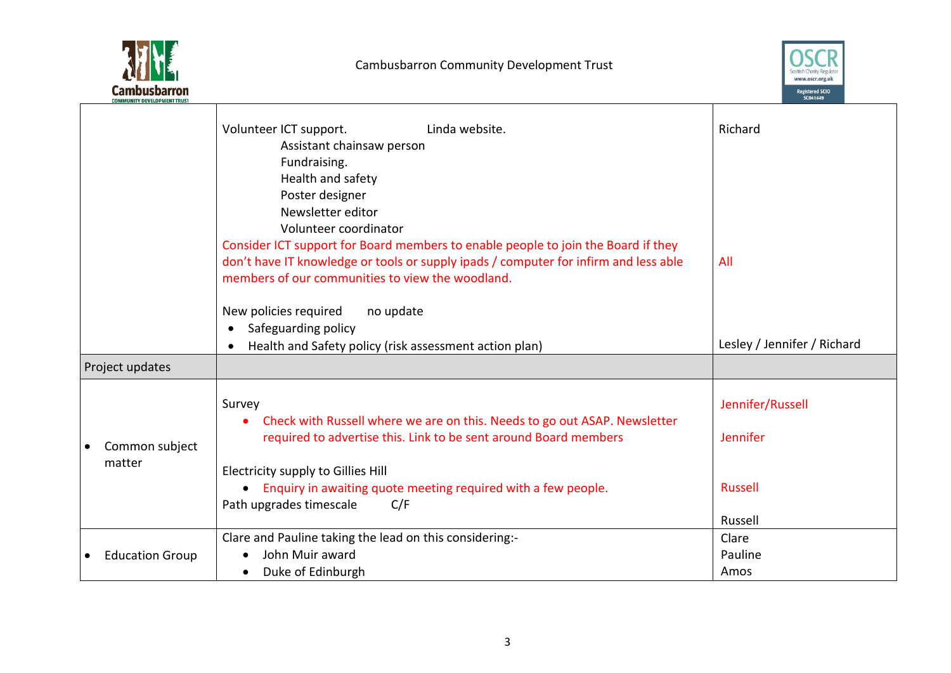



| LUMMUNIIY DEVELUPMENI IKUSI |                                                                                                                                                                                                                                                                                                                                                                                                                                                    |                                                           |
|-----------------------------|----------------------------------------------------------------------------------------------------------------------------------------------------------------------------------------------------------------------------------------------------------------------------------------------------------------------------------------------------------------------------------------------------------------------------------------------------|-----------------------------------------------------------|
|                             | Linda website.<br>Volunteer ICT support.<br>Assistant chainsaw person<br>Fundraising.<br>Health and safety<br>Poster designer<br>Newsletter editor<br>Volunteer coordinator<br>Consider ICT support for Board members to enable people to join the Board if they<br>don't have IT knowledge or tools or supply ipads / computer for infirm and less able<br>members of our communities to view the woodland.<br>New policies required<br>no update | Richard<br>All                                            |
|                             |                                                                                                                                                                                                                                                                                                                                                                                                                                                    |                                                           |
|                             | Safeguarding policy<br>$\bullet$                                                                                                                                                                                                                                                                                                                                                                                                                   |                                                           |
|                             | Health and Safety policy (risk assessment action plan)<br>$\bullet$                                                                                                                                                                                                                                                                                                                                                                                | Lesley / Jennifer / Richard                               |
| Project updates             |                                                                                                                                                                                                                                                                                                                                                                                                                                                    |                                                           |
| Common subject<br>matter    | Survey<br>Check with Russell where we are on this. Needs to go out ASAP. Newsletter<br>$\bullet$<br>required to advertise this. Link to be sent around Board members<br>Electricity supply to Gillies Hill<br>Enquiry in awaiting quote meeting required with a few people.<br>Path upgrades timescale<br>C/F                                                                                                                                      | Jennifer/Russell<br>Jennifer<br><b>Russell</b><br>Russell |
|                             | Clare and Pauline taking the lead on this considering:-                                                                                                                                                                                                                                                                                                                                                                                            | Clare                                                     |
| <b>Education Group</b>      | John Muir award<br>$\bullet$                                                                                                                                                                                                                                                                                                                                                                                                                       | Pauline                                                   |
|                             | Duke of Edinburgh                                                                                                                                                                                                                                                                                                                                                                                                                                  | Amos                                                      |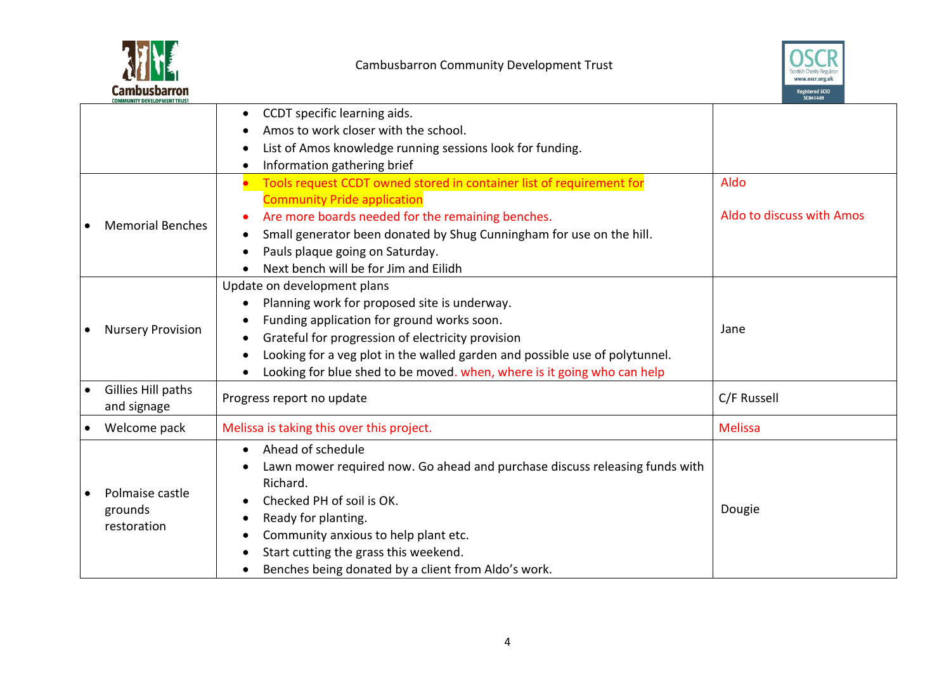



|           | <b>COMMUNITY DEVELOPMENT TRUST</b> |                                                                             | <b>SLU41449</b>           |
|-----------|------------------------------------|-----------------------------------------------------------------------------|---------------------------|
|           |                                    | CCDT specific learning aids.<br>$\bullet$                                   |                           |
|           |                                    | Amos to work closer with the school.                                        |                           |
|           |                                    | List of Amos knowledge running sessions look for funding.                   |                           |
|           |                                    | Information gathering brief                                                 |                           |
|           |                                    | Tools request CCDT owned stored in container list of requirement for        | Aldo                      |
|           |                                    | <b>Community Pride application</b>                                          |                           |
|           | <b>Memorial Benches</b>            | Are more boards needed for the remaining benches.                           | Aldo to discuss with Amos |
|           |                                    | Small generator been donated by Shug Cunningham for use on the hill.        |                           |
|           |                                    | Pauls plaque going on Saturday.                                             |                           |
|           |                                    | Next bench will be for Jim and Eilidh                                       |                           |
|           |                                    | Update on development plans                                                 |                           |
|           |                                    | Planning work for proposed site is underway.                                |                           |
|           | <b>Nursery Provision</b>           | Funding application for ground works soon.                                  |                           |
|           |                                    | Grateful for progression of electricity provision                           | Jane                      |
|           |                                    | Looking for a veg plot in the walled garden and possible use of polytunnel. |                           |
|           |                                    | Looking for blue shed to be moved. when, where is it going who can help     |                           |
| $\bullet$ | Gillies Hill paths<br>and signage  | Progress report no update                                                   | C/F Russell               |
|           |                                    |                                                                             | <b>Melissa</b>            |
| $\bullet$ | Welcome pack                       | Melissa is taking this over this project.                                   |                           |
|           |                                    | Ahead of schedule                                                           |                           |
|           |                                    | Lawn mower required now. Go ahead and purchase discuss releasing funds with |                           |
|           | Polmaise castle                    | Richard.                                                                    |                           |
|           | grounds                            | Checked PH of soil is OK.                                                   | Dougie                    |
|           | restoration                        | Ready for planting.                                                         |                           |
|           |                                    | Community anxious to help plant etc.                                        |                           |
|           |                                    | Start cutting the grass this weekend.                                       |                           |
|           |                                    | Benches being donated by a client from Aldo's work.                         |                           |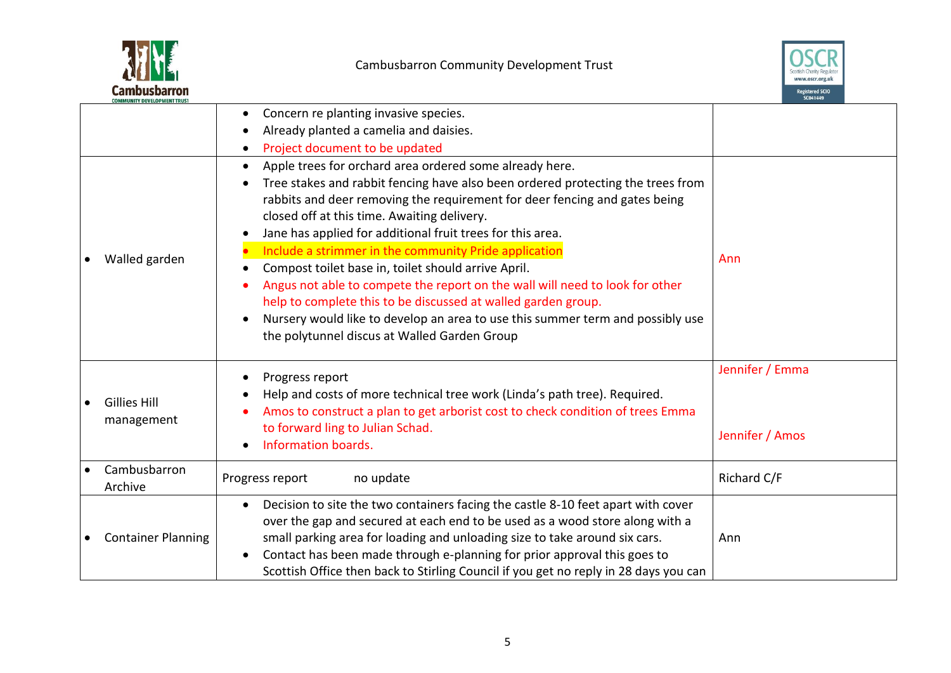Cambusbarron Community Development Trust



| Scottish Charity Regulator |
|----------------------------|
| www.oscr.org.uk            |

| <b>COMMUNITY DEVELOPMENT TRUST</b> |                                                                                                                                                                                                                                                                                                                                                                                                                                                                                                                                  | SC041449                           |  |
|------------------------------------|----------------------------------------------------------------------------------------------------------------------------------------------------------------------------------------------------------------------------------------------------------------------------------------------------------------------------------------------------------------------------------------------------------------------------------------------------------------------------------------------------------------------------------|------------------------------------|--|
| Walled garden                      | Concern re planting invasive species.<br>Already planted a camelia and daisies.<br>Project document to be updated<br>Apple trees for orchard area ordered some already here.<br>$\bullet$<br>Tree stakes and rabbit fencing have also been ordered protecting the trees from<br>rabbits and deer removing the requirement for deer fencing and gates being<br>closed off at this time. Awaiting delivery.<br>Jane has applied for additional fruit trees for this area.<br>Include a strimmer in the community Pride application | Ann                                |  |
|                                    | Compost toilet base in, toilet should arrive April.<br>Angus not able to compete the report on the wall will need to look for other<br>help to complete this to be discussed at walled garden group.<br>Nursery would like to develop an area to use this summer term and possibly use<br>the polytunnel discus at Walled Garden Group                                                                                                                                                                                           |                                    |  |
| <b>Gillies Hill</b><br>management  | Progress report<br>Help and costs of more technical tree work (Linda's path tree). Required.<br>Amos to construct a plan to get arborist cost to check condition of trees Emma<br>to forward ling to Julian Schad.<br>Information boards.                                                                                                                                                                                                                                                                                        | Jennifer / Emma<br>Jennifer / Amos |  |
| Cambusbarron<br>Archive            | Progress report<br>no update                                                                                                                                                                                                                                                                                                                                                                                                                                                                                                     | Richard C/F                        |  |
| <b>Container Planning</b>          | Decision to site the two containers facing the castle 8-10 feet apart with cover<br>over the gap and secured at each end to be used as a wood store along with a<br>small parking area for loading and unloading size to take around six cars.<br>Contact has been made through e-planning for prior approval this goes to<br>Scottish Office then back to Stirling Council if you get no reply in 28 days you can                                                                                                               | Ann                                |  |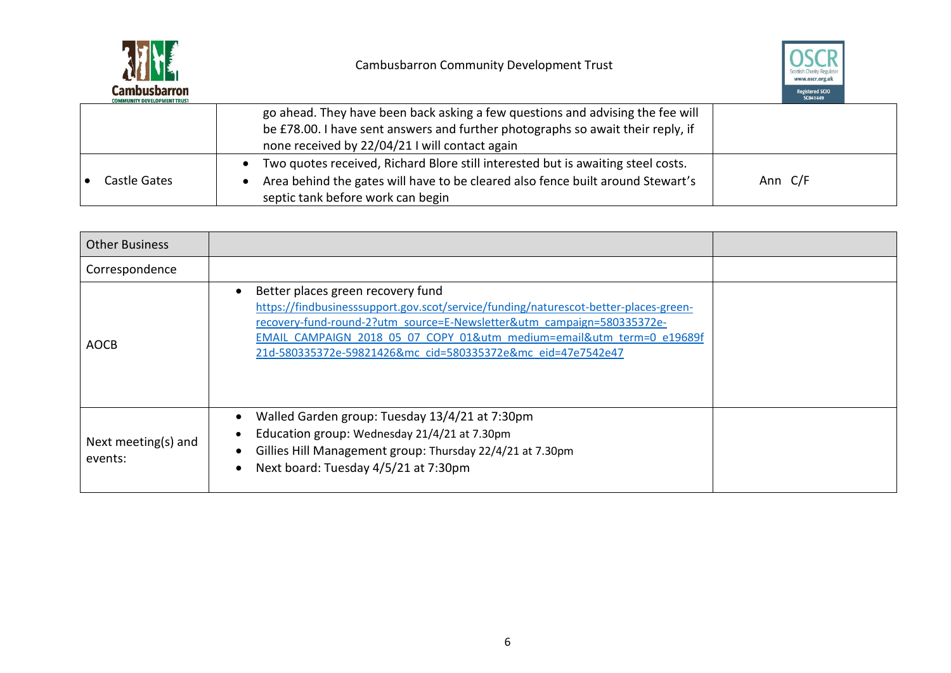



| Campusparron<br><b>COMMUNITY DEVELOPMENT TRUST</b> |                                                                                                                                                                                                                     | Registered SCIO<br>SC041449 |
|----------------------------------------------------|---------------------------------------------------------------------------------------------------------------------------------------------------------------------------------------------------------------------|-----------------------------|
|                                                    | go ahead. They have been back asking a few questions and advising the fee will<br>be £78.00. I have sent answers and further photographs so await their reply, if<br>none received by 22/04/21 I will contact again |                             |
| Castle Gates                                       | Two quotes received, Richard Blore still interested but is awaiting steel costs.<br>Area behind the gates will have to be cleared also fence built around Stewart's<br>septic tank before work can begin            | Ann C/F                     |

| <b>Other Business</b>          |                                                                                                                                                                                                                                                                                                                                                          |  |
|--------------------------------|----------------------------------------------------------------------------------------------------------------------------------------------------------------------------------------------------------------------------------------------------------------------------------------------------------------------------------------------------------|--|
| Correspondence                 |                                                                                                                                                                                                                                                                                                                                                          |  |
| <b>AOCB</b>                    | Better places green recovery fund<br>$\bullet$<br>https://findbusinesssupport.gov.scot/service/funding/naturescot-better-places-green-<br>recovery-fund-round-2?utm_source=E-Newsletter&utm_campaign=580335372e-<br>EMAIL CAMPAIGN 2018 05 07 COPY 01&utm medium=email&utm term=0 e19689f<br>21d-580335372e-59821426&mc cid=580335372e&mc eid=47e7542e47 |  |
| Next meeting(s) and<br>events: | Walled Garden group: Tuesday 13/4/21 at 7:30pm<br>Education group: Wednesday 21/4/21 at 7.30pm<br>Gillies Hill Management group: Thursday 22/4/21 at 7.30pm<br>$\bullet$<br>Next board: Tuesday 4/5/21 at 7:30pm<br>$\bullet$                                                                                                                            |  |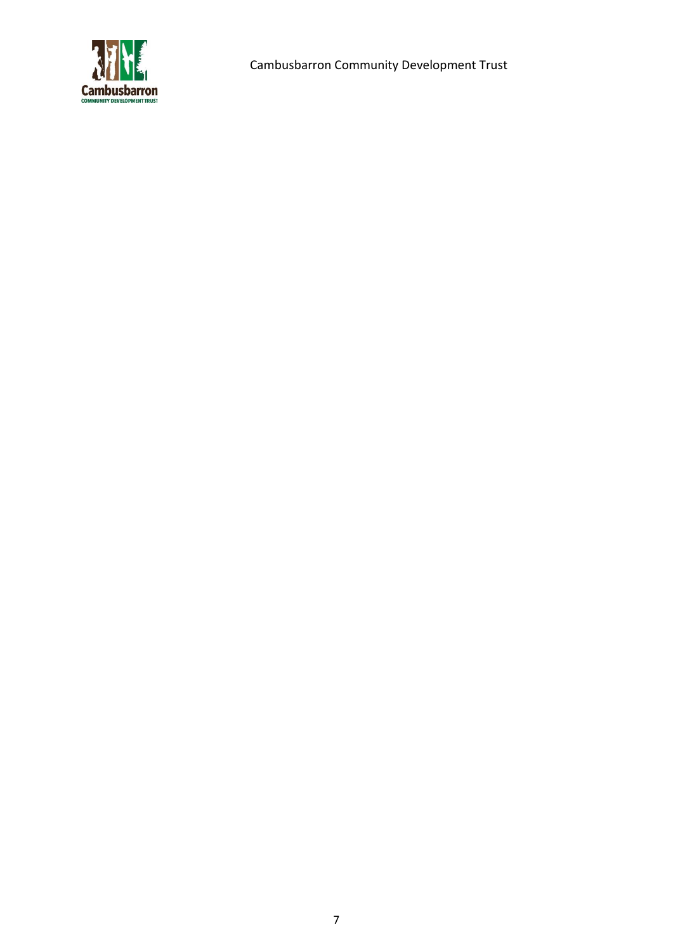

Cambusbarron Community Development Trust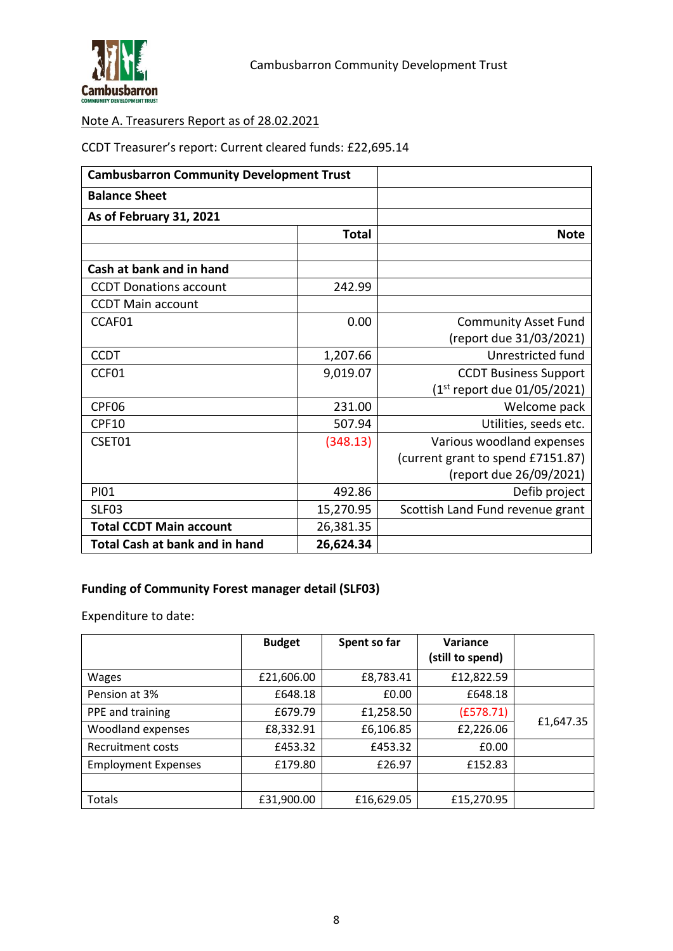

## Note A. Treasurers Report as of 28.02.2021

# CCDT Treasurer's report: Current cleared funds: £22,695.14

| <b>Cambusbarron Community Development Trust</b> |           |                                   |
|-------------------------------------------------|-----------|-----------------------------------|
| <b>Balance Sheet</b>                            |           |                                   |
| As of February 31, 2021                         |           |                                   |
|                                                 | Total     | <b>Note</b>                       |
|                                                 |           |                                   |
| Cash at bank and in hand                        |           |                                   |
| <b>CCDT Donations account</b>                   | 242.99    |                                   |
| <b>CCDT Main account</b>                        |           |                                   |
| CCAF01                                          | 0.00      | <b>Community Asset Fund</b>       |
|                                                 |           | (report due 31/03/2021)           |
| <b>CCDT</b>                                     | 1,207.66  | Unrestricted fund                 |
| CCF01                                           | 9,019.07  | <b>CCDT Business Support</b>      |
|                                                 |           | $(1^{st}$ report due 01/05/2021)  |
| CPF06                                           | 231.00    | Welcome pack                      |
| <b>CPF10</b>                                    | 507.94    | Utilities, seeds etc.             |
| CSET01                                          | (348.13)  | Various woodland expenses         |
|                                                 |           | (current grant to spend £7151.87) |
|                                                 |           | (report due 26/09/2021)           |
| <b>PI01</b>                                     | 492.86    | Defib project                     |
| SLF <sub>03</sub>                               | 15,270.95 | Scottish Land Fund revenue grant  |
| <b>Total CCDT Main account</b>                  | 26,381.35 |                                   |
| <b>Total Cash at bank and in hand</b>           | 26,624.34 |                                   |

# **Funding of Community Forest manager detail (SLF03)**

Expenditure to date:

|                            | <b>Budget</b> | Spent so far | Variance         |           |
|----------------------------|---------------|--------------|------------------|-----------|
|                            |               |              | (still to spend) |           |
| Wages                      | £21,606.00    | £8,783.41    | £12,822.59       |           |
| Pension at 3%              | £648.18       | £0.00        | £648.18          |           |
| PPE and training           | £679.79       | £1,258.50    | (E578.71)        |           |
| Woodland expenses          | £8,332.91     | £6,106.85    | £2,226.06        | £1,647.35 |
| Recruitment costs          | £453.32       | £453.32      | £0.00            |           |
| <b>Employment Expenses</b> | £179.80       | £26.97       | £152.83          |           |
|                            |               |              |                  |           |
| Totals                     | £31,900.00    | £16,629.05   | £15,270.95       |           |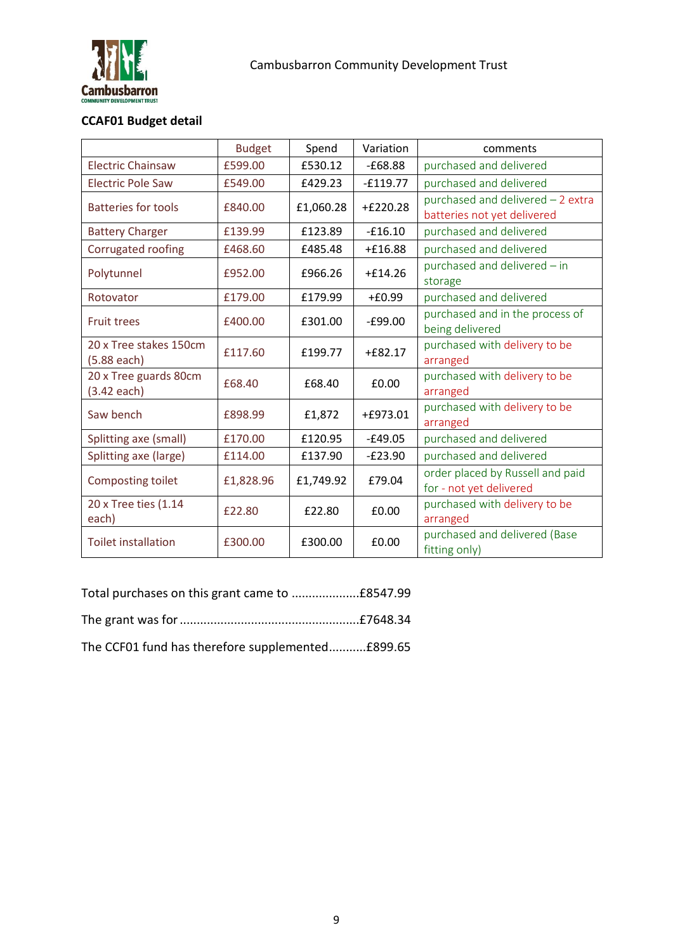

### **CCAF01 Budget detail**

|                                         | <b>Budget</b> | Spend     | Variation  | comments                                                         |
|-----------------------------------------|---------------|-----------|------------|------------------------------------------------------------------|
| <b>Electric Chainsaw</b>                | £599.00       | £530.12   | $-£68.88$  | purchased and delivered                                          |
| <b>Electric Pole Saw</b>                | £549.00       | £429.23   | $-£119.77$ | purchased and delivered                                          |
| <b>Batteries for tools</b>              | £840.00       | £1,060.28 | $+£220.28$ | purchased and delivered - 2 extra<br>batteries not yet delivered |
| <b>Battery Charger</b>                  | £139.99       | £123.89   | $-£16.10$  | purchased and delivered                                          |
| Corrugated roofing                      | £468.60       | £485.48   | $+£16.88$  | purchased and delivered                                          |
| Polytunnel                              | £952.00       | £966.26   | $+£14.26$  | purchased and delivered - in<br>storage                          |
| Rotovator                               | £179.00       | £179.99   | $+£0.99$   | purchased and delivered                                          |
| <b>Fruit trees</b>                      | £400.00       | £301.00   | $-£99.00$  | purchased and in the process of<br>being delivered               |
| 20 x Tree stakes 150cm<br>$(5.88$ each) | £117.60       | £199.77   | $+£82.17$  | purchased with delivery to be<br>arranged                        |
| 20 x Tree guards 80cm<br>$(3.42$ each)  | £68.40        | £68.40    | £0.00      | purchased with delivery to be<br>arranged                        |
| Saw bench                               | £898.99       | £1,872    | $+£973.01$ | purchased with delivery to be<br>arranged                        |
| Splitting axe (small)                   | £170.00       | £120.95   | $-£49.05$  | purchased and delivered                                          |
| Splitting axe (large)                   | £114.00       | £137.90   | $-E23.90$  | purchased and delivered                                          |
| Composting toilet                       | £1,828.96     | £1,749.92 | £79.04     | order placed by Russell and paid<br>for - not yet delivered      |
| 20 x Tree ties (1.14<br>each)           | £22.80        | £22.80    | £0.00      | purchased with delivery to be<br>arranged                        |
| <b>Toilet installation</b>              | £300.00       | £300.00   | £0.00      | purchased and delivered (Base<br>fitting only)                   |

Total purchases on this grant came to ....................£8547.99

The grant was for.....................................................£7648.34

The CCF01 fund has therefore supplemented...........£899.65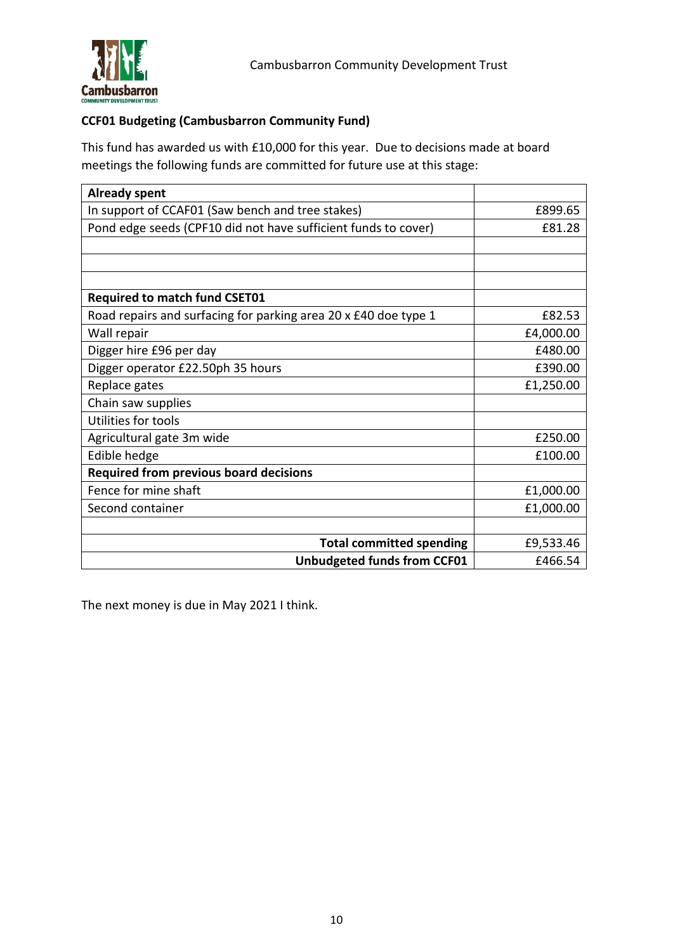

## **CCF01 Budgeting (Cambusbarron Community Fund)**

This fund has awarded us with £10,000 for this year. Due to decisions made at board meetings the following funds are committed for future use at this stage:

| <b>Already spent</b>                                            |           |
|-----------------------------------------------------------------|-----------|
| In support of CCAF01 (Saw bench and tree stakes)                | £899.65   |
| Pond edge seeds (CPF10 did not have sufficient funds to cover)  | £81.28    |
|                                                                 |           |
|                                                                 |           |
|                                                                 |           |
| <b>Required to match fund CSET01</b>                            |           |
| Road repairs and surfacing for parking area 20 x £40 doe type 1 | £82.53    |
| Wall repair                                                     | £4,000.00 |
| Digger hire £96 per day                                         | £480.00   |
| Digger operator £22.50ph 35 hours                               | £390.00   |
| Replace gates                                                   | £1,250.00 |
| Chain saw supplies                                              |           |
| Utilities for tools                                             |           |
| Agricultural gate 3m wide                                       | £250.00   |
| Edible hedge                                                    | £100.00   |
| <b>Required from previous board decisions</b>                   |           |
| Fence for mine shaft                                            | £1,000.00 |
| Second container                                                | £1,000.00 |
|                                                                 |           |
| <b>Total committed spending</b>                                 | £9,533.46 |
| <b>Unbudgeted funds from CCF01</b>                              | £466.54   |

The next money is due in May 2021 I think.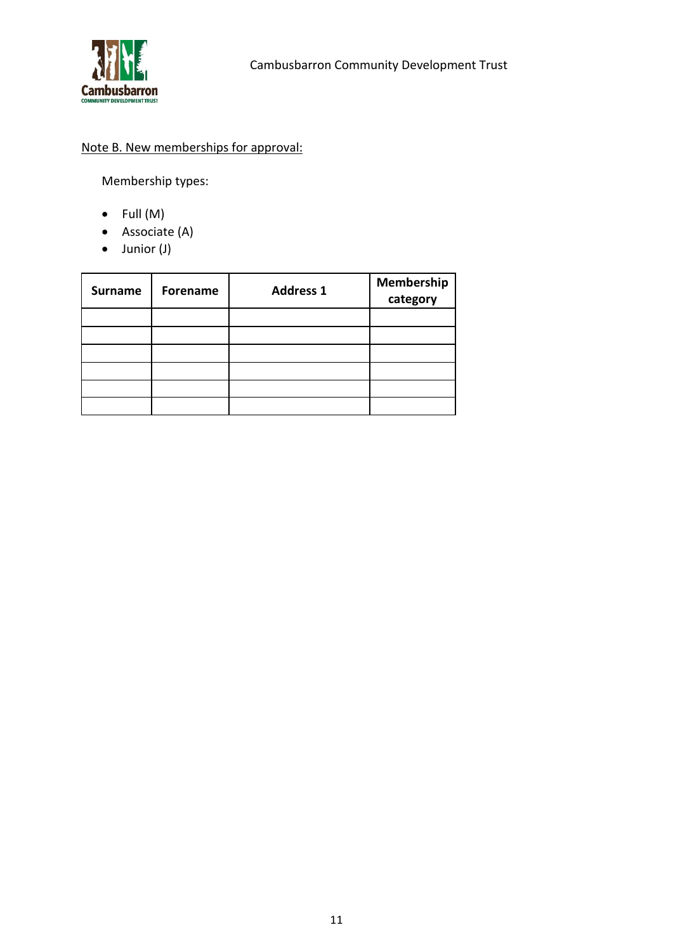

# Note B. New memberships for approval:

Membership types:

- Full (M)
- Associate (A)
- Junior (J)

| <b>Surname</b> | <b>Forename</b> | <b>Address 1</b> | Membership<br>category |
|----------------|-----------------|------------------|------------------------|
|                |                 |                  |                        |
|                |                 |                  |                        |
|                |                 |                  |                        |
|                |                 |                  |                        |
|                |                 |                  |                        |
|                |                 |                  |                        |